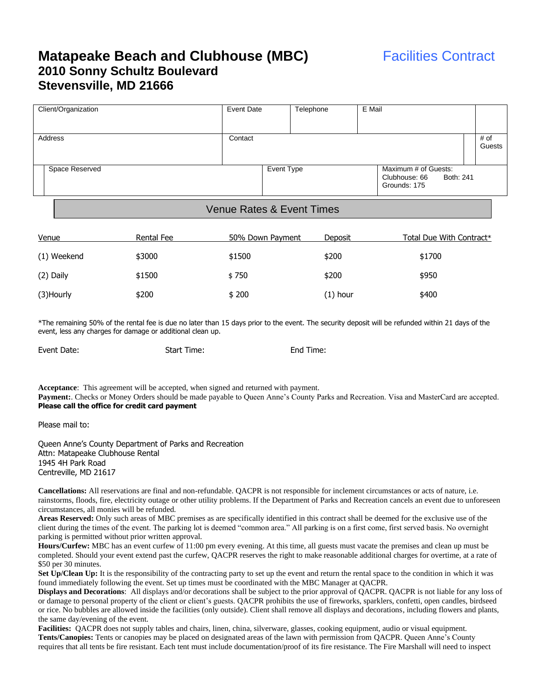## **Matapeake Beach and Clubhouse (MBC)** Facilities Contract **2010 Sonny Schultz Boulevard Stevensville, MD 21666**

| Client/Organization | Event Date |            | Telephone | E Mail |                                                                    |                |  |
|---------------------|------------|------------|-----------|--------|--------------------------------------------------------------------|----------------|--|
| Address             | Contact    |            |           |        |                                                                    | # of<br>Guests |  |
| Space Reserved      |            | Event Type |           |        | Maximum # of Guests:<br>Clubhouse: 66<br>Both: 241<br>Grounds: 175 |                |  |

## Venue Rates & Event Times

| Venue       | Rental Fee | 50% Down Payment | Deposit  | <u>Total Due With Contract*</u> |
|-------------|------------|------------------|----------|---------------------------------|
| (1) Weekend | \$3000     | \$1500           | \$200    | \$1700                          |
| (2) Daily   | \$1500     | \$750            | \$200    | \$950                           |
| (3)Hourly   | \$200      | \$200            | (1) hour | \$400                           |

\*The remaining 50% of the rental fee is due no later than 15 days prior to the event. The security deposit will be refunded within 21 days of the event, less any charges for damage or additional clean up.

Event Date: Start Time: End Time:

**Acceptance**: This agreement will be accepted, when signed and returned with payment. Payment:. Checks or Money Orders should be made payable to Queen Anne's County Parks and Recreation. Visa and MasterCard are accepted. **Please call the office for credit card payment**

Please mail to:

Queen Anne's County Department of Parks and Recreation Attn: Matapeake Clubhouse Rental 1945 4H Park Road Centreville, MD 21617

**Cancellations:** All reservations are final and non-refundable. QACPR is not responsible for inclement circumstances or acts of nature, i.e. rainstorms, floods, fire, electricity outage or other utility problems. If the Department of Parks and Recreation cancels an event due to unforeseen circumstances, all monies will be refunded.

**Areas Reserved:** Only such areas of MBC premises as are specifically identified in this contract shall be deemed for the exclusive use of the client during the times of the event. The parking lot is deemed "common area." All parking is on a first come, first served basis. No overnight parking is permitted without prior written approval.

**Hours/Curfew:** MBC has an event curfew of 11:00 pm every evening. At this time, all guests must vacate the premises and clean up must be completed. Should your event extend past the curfew, QACPR reserves the right to make reasonable additional charges for overtime, at a rate of \$50 per 30 minutes.

**Set Up/Clean Up:** It is the responsibility of the contracting party to set up the event and return the rental space to the condition in which it was found immediately following the event. Set up times must be coordinated with the MBC Manager at QACPR.

**Displays and Decorations**: All displays and/or decorations shall be subject to the prior approval of QACPR. QACPR is not liable for any loss of or damage to personal property of the client or client's guests. QACPR prohibits the use of fireworks, sparklers, confetti, open candles, birdseed or rice. No bubbles are allowed inside the facilities (only outside). Client shall remove all displays and decorations, including flowers and plants, the same day/evening of the event.

**Facilities:** QACPR does not supply tables and chairs, linen, china, silverware, glasses, cooking equipment, audio or visual equipment. **Tents/Canopies:** Tents or canopies may be placed on designated areas of the lawn with permission from QACPR. Queen Anne's County requires that all tents be fire resistant. Each tent must include documentation/proof of its fire resistance. The Fire Marshall will need to inspect